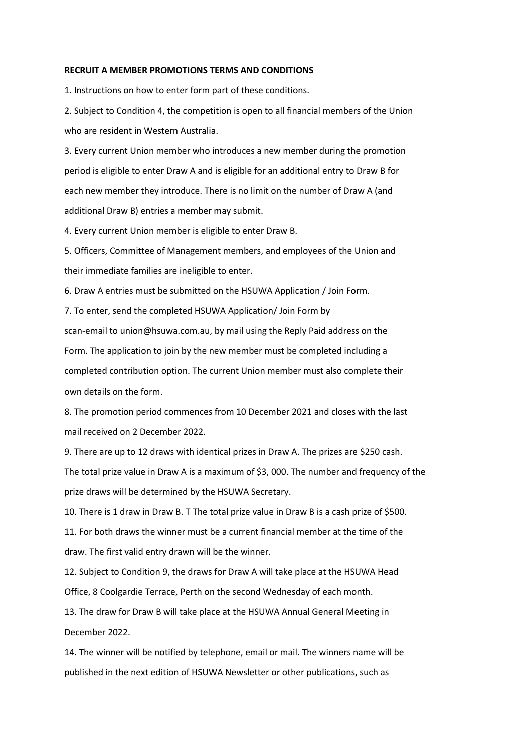## **RECRUIT A MEMBER PROMOTIONS TERMS AND CONDITIONS**

1. Instructions on how to enter form part of these conditions.

2. Subject to Condition 4, the competition is open to all financial members of the Union who are resident in Western Australia.

3. Every current Union member who introduces a new member during the promotion period is eligible to enter Draw A and is eligible for an additional entry to Draw B for each new member they introduce. There is no limit on the number of Draw A (and additional Draw B) entries a member may submit.

4. Every current Union member is eligible to enter Draw B.

5. Officers, Committee of Management members, and employees of the Union and their immediate families are ineligible to enter.

6. Draw A entries must be submitted on the HSUWA Application / Join Form.

7. To enter, send the completed HSUWA Application/ Join Form by scan-email to union@hsuwa.com.au, by mail using the Reply Paid address on the Form. The application to join by the new member must be completed including a completed contribution option. The current Union member must also complete their own details on the form.

8. The promotion period commences from 10 December 2021 and closes with the last mail received on 2 December 2022.

9. There are up to 12 draws with identical prizes in Draw A. The prizes are \$250 cash. The total prize value in Draw A is a maximum of \$3, 000. The number and frequency of the prize draws will be determined by the HSUWA Secretary.

10. There is 1 draw in Draw B. T The total prize value in Draw B is a cash prize of \$500.

11. For both draws the winner must be a current financial member at the time of the draw. The first valid entry drawn will be the winner.

12. Subject to Condition 9, the draws for Draw A will take place at the HSUWA Head Office, 8 Coolgardie Terrace, Perth on the second Wednesday of each month.

13. The draw for Draw B will take place at the HSUWA Annual General Meeting in December 2022.

14. The winner will be notified by telephone, email or mail. The winners name will be published in the next edition of HSUWA Newsletter or other publications, such as